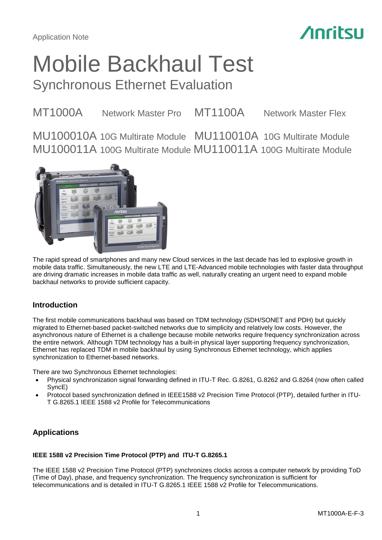

# Mobile Backhaul Test Synchronous Ethernet Evaluation

MT1000A Network Master Pro MT1100A Network Master Flex

MU100010A 10G Multirate Module MU110010A 10G Multirate Module MU100011A 100G Multirate Module MU110011A 100G Multirate Module



The rapid spread of smartphones and many new Cloud services in the last decade has led to explosive growth in mobile data traffic. Simultaneously, the new LTE and LTE-Advanced mobile technologies with faster data throughput are driving dramatic increases in mobile data traffic as well, naturally creating an urgent need to expand mobile backhaul networks to provide sufficient capacity.

## **Introduction**

The first mobile communications backhaul was based on TDM technology (SDH/SONET and PDH) but quickly migrated to Ethernet-based packet-switched networks due to simplicity and relatively low costs. However, the asynchronous nature of Ethernet is a challenge because mobile networks require frequency synchronization across the entire network. Although TDM technology has a built-in physical layer supporting frequency synchronization, Ethernet has replaced TDM in mobile backhaul by using Synchronous Ethernet technology, which applies synchronization to Ethernet-based networks.

There are two Synchronous Ethernet technologies:

- Physical synchronization signal forwarding defined in ITU-T Rec. G.8261, G.8262 and G.8264 (now often called SyncE)
- Protocol based synchronization defined in IEEE1588 v2 Precision Time Protocol (PTP), detailed further in ITU-T G.8265.1 IEEE 1588 v2 Profile for Telecommunications

# **Applications**

## **IEEE 1588 v2 Precision Time Protocol (PTP) and ITU-T G.8265.1**

The IEEE 1588 v2 Precision Time Protocol (PTP) synchronizes clocks across a computer network by providing ToD (Time of Day), phase, and frequency synchronization. The frequency synchronization is sufficient for telecommunications and is detailed in ITU-T G.8265.1 IEEE 1588 v2 Profile for Telecommunications.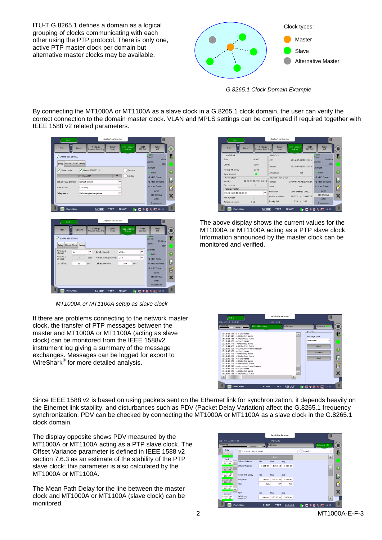ITU-T G.8265.1 defines a domain as a logical grouping of clocks communicating with each other using the PTP protocol. There is only one, active PTP master clock per domain but alternative master clocks may be available.



*G.8265.1 Clock Domain Example* 

By connecting the MT1000A or MT1100A as a slave clock in a G.8265.1 clock domain, the user can verify the correct connection to the domain master clock. VLAN and MPLS settings can be configured if required together with IEEE 1588 v2 related parameters.

| Port <sub>1</sub>                                                                                                  |                                                                                               |                                      | <b>Application Selector</b>                         |                                     |                                 | Ш                                                                                                                                                                                      |                           |
|--------------------------------------------------------------------------------------------------------------------|-----------------------------------------------------------------------------------------------|--------------------------------------|-----------------------------------------------------|-------------------------------------|---------------------------------|----------------------------------------------------------------------------------------------------------------------------------------------------------------------------------------|---------------------------|
| Port                                                                                                               | <b>Streams</b>                                                                                | <b>Settings</b><br>Answer: Arp. Ping | SyncE<br>Sync                                       | <b>IEEE 1588v2</b><br>Unicast       | OAM<br>802.3ah                  | Filter<br>Off                                                                                                                                                                          |                           |
| Enable IEEE 1588v2<br>Setup Master Clock Timing<br>Slave mode<br>IEEE 1588v2 domain:<br>Step mode:<br>Delay mech.: | $J$ Unicast(G8265.1)<br>ETH/IPv4/UDP<br>Default unicast<br>One-step<br>Delay request/response |                                      |                                                     | Capture<br>Ext. log<br>۳<br>۳<br>۳  |                                 | Link<br>Speed:<br>1 Gbps<br>Duplex:<br><b>FDX</b><br><b>Ethernet</b><br><b>Traffic</b><br>O MPLS frame<br>O MPLS-TP frame<br>O VLAN frame<br>SyncE<br><b>IEEE 1588v2</b><br><b>OAM</b> | F<br>$\overline{P}$<br>ě, |
| Mon./Gen.<br>Port 1<br>Port                                                                                        | <b>Streams</b>                                                                                | <b>SETUP</b><br><b>Settings</b>      | <b>TEST</b><br><b>Application Selector</b><br>SyncE | <b>RESULT</b><br><b>IEEE 1588v2</b> | <b>HOSEVE</b><br>OAM<br>802.3ah | Transceiver<br>68:51<br>Ш<br>Filter<br>Off                                                                                                                                             | Ш                         |
| Enable IEEE 1588v2<br>Setup Master Clock Timing<br>Announce<br>1 <sup>5</sup><br>interval:                         | ▼                                                                                             | Answer: Arp. Ping<br>SyncE interval: | Sync                                                | Unicast<br>1/32 s                   | ▼                               | <b>Link</b><br>Speed:<br>10 Gbps<br>Duplex:<br><b>FDX</b><br><b>Ethernet</b><br><b>D</b> Traffic                                                                                       | 2                         |
| Announce<br>timeout:<br>UTC offset:                                                                                | 3<br>(3s)<br>35<br>sec                                                                        | Unicast duration:                    | Min delay Reg interval:                             | 1/4s<br>300                         | ۳<br>sec                        | O MPLS frame<br>O MPLS-TP frame<br>O VLAN frame<br>SyncE<br><b>IEEE 1588v2</b>                                                                                                         | ă,                        |
|                                                                                                                    |                                                                                               |                                      |                                                     |                                     |                                 | <b>OAM</b>                                                                                                                                                                             | ×                         |

*MT1000A or MT1100A setup as slave clock*

If there are problems connecting to the network master clock, the transfer of PTP messages between the master and MT1000A or MT1100A (acting as slave clock) can be monitored from the IEEE 1588v2 instrument log giving a summary of the message exchanges. Messages can be logged for export to WireShark<sup>®</sup> for more detailed analysis.



The above display shows the current values for the MT1000A or MT1100A acting as a PTP slave clock. Information announced by the master clock can be monitored and verified.

| Port 1                                                                                                                                                                                                                                                                                                                                                                                                           | <b>Result File Browser</b>                   | Ш                                                                                          |              |
|------------------------------------------------------------------------------------------------------------------------------------------------------------------------------------------------------------------------------------------------------------------------------------------------------------------------------------------------------------------------------------------------------------------|----------------------------------------------|--------------------------------------------------------------------------------------------|--------------|
| 2014-07-10 12:03:43                                                                                                                                                                                                                                                                                                                                                                                              | 01:15:04                                     |                                                                                            |              |
| Summary<br>IEEE1588v2 Log<br>,,,,,,,,,,,,,                                                                                                                                                                                                                                                                                                                                                                       | OAM Log                                      | Statistics III                                                                             |              |
| 13:18:43.436 <- Sync frame<br>13:18:43.446 -> DelayReg frame<br>13:18:43.456 <- DelayResp frame<br>13:18:44.436 <- Sync frame<br>13:18:44.446 -> DelayReg frame<br>13:18:44.456 <- DelayResp frame<br>13:18:45.396 <- Announce frame (master)<br>13:18:45.436 <- Sync frame<br>13:18:45.446 -> DelayReg frame<br>13:18:45.456 <- DelayResp frame<br>13:18:46.436 <- Sync frame<br>13:18:46.446 -> DelayReg frame |                                              | Search<br>$\blacktriangle$<br>Message type:<br>▼<br>Announce<br>Filter<br>Previous<br>Next | ₽<br>?<br>Ě, |
| 13:18:46.456 <- DelayResp frame<br>13:18:47.396 << Announce frame (master)<br>13:18:47.436 <- Sync frame<br>13:18:47.446 -> DelayReg frame<br>13:18:47.456 <- DelayResp frame<br>$\blacktriangleleft$                                                                                                                                                                                                            | ٠                                            | ٠                                                                                          | É            |
| Ш<br>Mon./Gen.                                                                                                                                                                                                                                                                                                                                                                                                   | <b>RESULT</b><br><b>SETUP</b><br><b>TEST</b> | <b>THE CONSTRUCT OF 13:18</b>                                                              | Ш            |

Since IEEE 1588 v2 is based on using packets sent on the Ethernet link for synchronization, it depends heavily on the Ethernet link stability, and disturbances such as PDV (Packet Delay Variation) affect the G.8265.1 frequency synchronization. PDV can be checked by connecting the MT1000A or MT1100A as a slave clock in the G.8265.1 clock domain.

The display opposite shows PDV measured by the MT1000A or MT1100A acting as a PTP slave clock. The Offset Variance parameter is defined in IEEE 1588 v2 section 7.6.3 as an estimate of the stability of the PTP slave clock; this parameter is also calculated by the MT1000A or MT1100A.

The Mean Path Delay for the line between the master clock and MT1000A or MT1100A (slave clock) can be monitored.

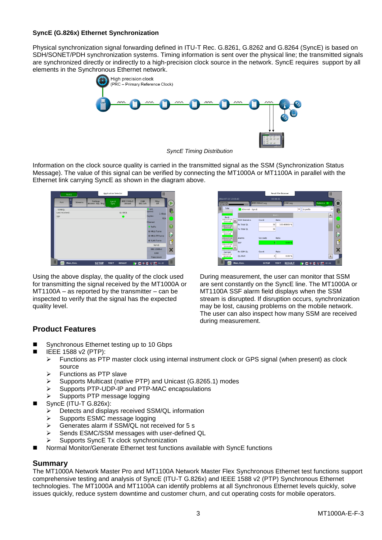## **SyncE (G.826x) Ethernet Synchronization**

Physical synchronization signal forwarding defined in ITU-T Rec. G.8261, G.8262 and G.8264 (SyncE) is based on SDH/SONET/PDH synchronization systems. Timing information is sent over the physical line; the transmitted signals are synchronized directly or indirectly to a high-precision clock source in the network. SyncE requires support by all elements in the Synchronous Ethernet network.



*SyncE Timing Distribution*

Information on the clock source quality is carried in the transmitted signal as the SSM (Synchronization Status Message). The value of this signal can be verified by connecting the MT1000A or MT1100A in parallel with the Ethernet link carrying SyncE as shown in the diagram above.



Using the above display, the quality of the clock used for transmitting the signal received by the MT1000A or  $MT1100A - as$  reported by the transmitter  $-$  can be inspected to verify that the signal has the expected quality level.



During measurement, the user can monitor that SSM are sent constantly on the SyncE line. The MT1000A or MT1100A SSF alarm field displays when the SSM stream is disrupted. If disruption occurs, synchronization may be lost, causing problems on the mobile network. The user can also inspect how many SSM are received during measurement.

# **Product Features**

- Synchronous Ethernet testing up to 10 Gbps
- IEEE 1588 v2 (PTP):
	- $\triangleright$  Functions as PTP master clock using internal instrument clock or GPS signal (when present) as clock source
	- > Functions as PTP slave
	- Supports Multicast (native PTP) and Unicast (G.8265.1) modes
	- **►** Supports PTP-UDP-IP and PTP-MAC encapsulations
	- Supports PTP message logging
- SyncE (ITU-T G.826x):
	- Detects and displays received SSM/QL information
	- $\triangleright$  Supports ESMC message logging
	- Generates alarm if SSM/QL not received for 5 s
	- Sends ESMC/SSM messages with user-defined QL
	- Supports SyncE Tx clock synchronization
- Normal Monitor/Generate Ethernet test functions available with SyncE functions

## **Summary**

The MT1000A Network Master Pro and MT1100A Network Master Flex Synchronous Ethernet test functions support comprehensive testing and analysis of SyncE (ITU-T G.826x) and IEEE 1588 v2 (PTP) Synchronous Ethernet technologies. The MT1000A and MT1100A can identify problems at all Synchronous Ethernet levels quickly, solve issues quickly, reduce system downtime and customer churn, and cut operating costs for mobile operators.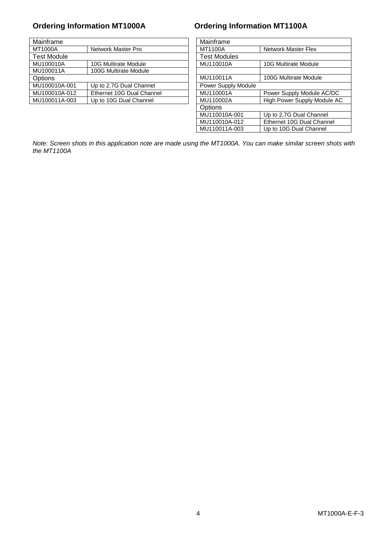# **Ordering Information MT1000A**

| Mainframe          |                           | Mainframe           |                             |
|--------------------|---------------------------|---------------------|-----------------------------|
| MT1000A            | Network Master Pro        | MT1100A             | Network Master Flex         |
| <b>Test Module</b> |                           | <b>Test Modules</b> |                             |
| MU100010A          | 10G Multirate Module      | MU110010A           | 10G Multirate Module        |
| MU100011A          | 100G Multirate Module     |                     |                             |
| Options            |                           | MU110011A           | 100G Multirate Module       |
| MU100010A-001      | Up to 2.7G Dual Channel   | Power Supply Module |                             |
| MU100010A-012      | Ethernet 10G Dual Channel | MU110001A           | Power Supply Module AC/DC   |
| MU100011A-003      | Up to 10G Dual Channel    | MU110002A           | High Power Supply Module AC |
|                    |                           |                     |                             |

| Mainframe           |                             |  |  |
|---------------------|-----------------------------|--|--|
| MT1100A             | <b>Network Master Flex</b>  |  |  |
| <b>Test Modules</b> |                             |  |  |
| MU110010A           | <b>10G Multirate Module</b> |  |  |
|                     |                             |  |  |
| MU110011A           | 100G Multirate Module       |  |  |
| Power Supply Module |                             |  |  |
| MU110001A           | Power Supply Module AC/DC   |  |  |
| MU110002A           | High Power Supply Module AC |  |  |
| Options             |                             |  |  |
| MU110010A-001       | Up to 2.7G Dual Channel     |  |  |
| MU110010A-012       | Ethernet 10G Dual Channel   |  |  |
| MU110011A-003       | Up to 10G Dual Channel      |  |  |

*Note: Screen shots in this application note are made using the MT1000A. You can make similar screen shots with the MT1100A*